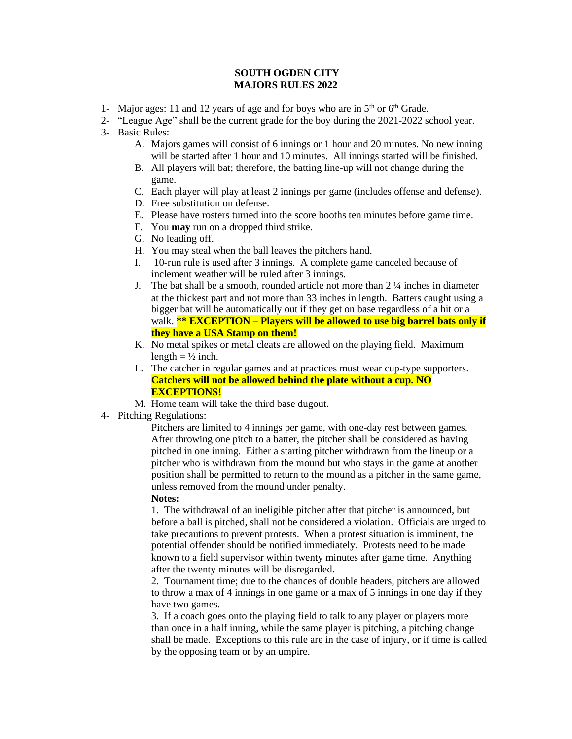## **SOUTH OGDEN CITY MAJORS RULES 2022**

- 1- Major ages: 11 and 12 years of age and for boys who are in  $5<sup>th</sup>$  or  $6<sup>th</sup>$  Grade.
- 2- "League Age" shall be the current grade for the boy during the 2021-2022 school year.
- 3- Basic Rules:
	- A. Majors games will consist of 6 innings or 1 hour and 20 minutes. No new inning will be started after 1 hour and 10 minutes. All innings started will be finished.
	- B. All players will bat; therefore, the batting line-up will not change during the game.
	- C. Each player will play at least 2 innings per game (includes offense and defense).
	- D. Free substitution on defense.
	- E. Please have rosters turned into the score booths ten minutes before game time.
	- F. You **may** run on a dropped third strike.
	- G. No leading off.
	- H. You may steal when the ball leaves the pitchers hand.
	- I. 10-run rule is used after 3 innings. A complete game canceled because of inclement weather will be ruled after 3 innings.
	- J. The bat shall be a smooth, rounded article not more than  $2\frac{1}{4}$  inches in diameter at the thickest part and not more than 33 inches in length. Batters caught using a bigger bat will be automatically out if they get on base regardless of a hit or a walk. **\*\* EXCEPTION – Players will be allowed to use big barrel bats only if they have a USA Stamp on them!**
	- K. No metal spikes or metal cleats are allowed on the playing field. Maximum length  $= \frac{1}{2}$  inch.
	- L. The catcher in regular games and at practices must wear cup-type supporters. **Catchers will not be allowed behind the plate without a cup. NO EXCEPTIONS!**
	- M. Home team will take the third base dugout.
- 4- Pitching Regulations:

Pitchers are limited to 4 innings per game, with one-day rest between games. After throwing one pitch to a batter, the pitcher shall be considered as having pitched in one inning. Either a starting pitcher withdrawn from the lineup or a pitcher who is withdrawn from the mound but who stays in the game at another position shall be permitted to return to the mound as a pitcher in the same game, unless removed from the mound under penalty.

**Notes:**

1. The withdrawal of an ineligible pitcher after that pitcher is announced, but before a ball is pitched, shall not be considered a violation. Officials are urged to take precautions to prevent protests. When a protest situation is imminent, the potential offender should be notified immediately. Protests need to be made known to a field supervisor within twenty minutes after game time. Anything after the twenty minutes will be disregarded.

2. Tournament time; due to the chances of double headers, pitchers are allowed to throw a max of 4 innings in one game or a max of 5 innings in one day if they have two games.

3. If a coach goes onto the playing field to talk to any player or players more than once in a half inning, while the same player is pitching, a pitching change shall be made. Exceptions to this rule are in the case of injury, or if time is called by the opposing team or by an umpire.